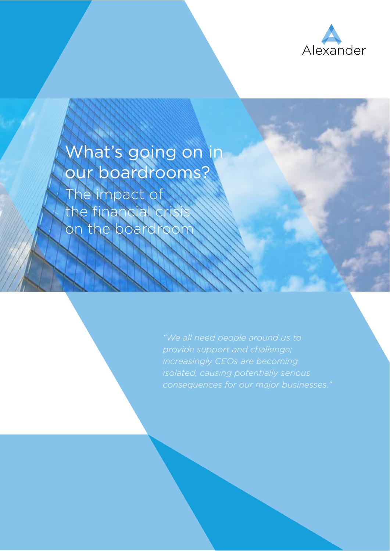

# What's going on in our boardrooms?

The impact of the financial cris on the boardroo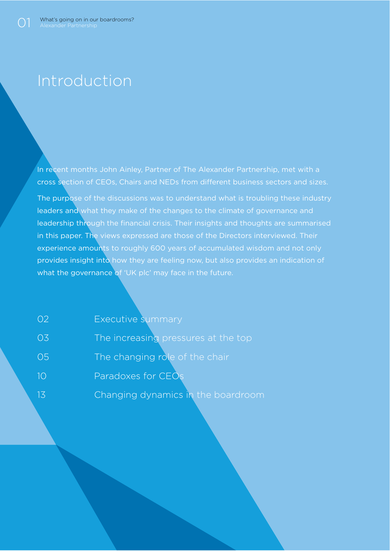### Introduction

In recent months John Ainley, Partner of The Alexander Partnership, met with a cross section of CEOs, Chairs and NEDs from diferent business sectors and sizes.

The purpose of the discussions was to understand what is troubling these industry leaders and what they make of the changes to the climate of governance and leadership through the financial crisis. Their insights and thoughts are summarised in this paper. The views expressed are those of the Directors interviewed. Their experience amounts to roughly 600 years of accumulated wisdom and not only provides insight into how they are feeling now, but also provides an indication of what the governance of 'UK plc' may face in the future.

| 02  | Executive summary                   |
|-----|-------------------------------------|
| 03  | The increasing pressures at the top |
| 05  | The changing role of the chair      |
| 10  | Paradoxes for CEOs                  |
| -13 | Changing dynamics in the boardroom  |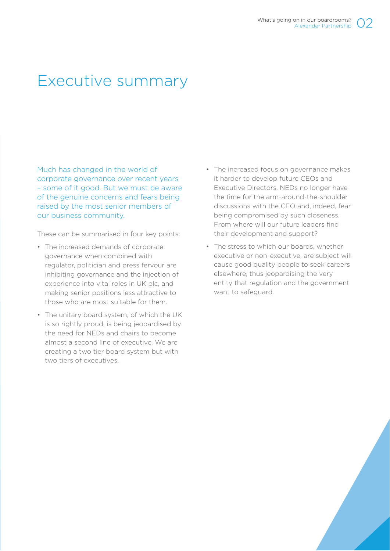### Executive summary

Much has changed in the world of corporate governance over recent years – some of it good. But we must be aware of the genuine concerns and fears being raised by the most senior members of our business community.

These can be summarised in four key points:

- The increased demands of corporate governance when combined with regulator, politician and press fervour are inhibiting governance and the injection of experience into vital roles in UK plc, and making senior positions less attractive to those who are most suitable for them.
- The unitary board system, of which the UK is so rightly proud, is being jeopardised by the need for NEDs and chairs to become almost a second line of executive. We are creating a two tier board system but with two tiers of executives.
- The increased focus on governance makes it harder to develop future CEOs and Executive Directors. NEDs no longer have the time for the arm-around-the-shoulder discussions with the CEO and, indeed, fear being compromised by such closeness. From where will our future leaders find their development and support?
- The stress to which our boards, whether executive or non-executive, are subject will cause good quality people to seek careers elsewhere, thus jeopardising the very entity that regulation and the government want to safeguard.

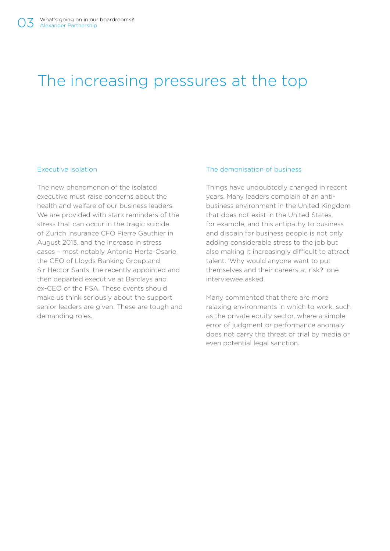### The increasing pressures at the top

#### Executive isolation

The new phenomenon of the isolated executive must raise concerns about the health and welfare of our business leaders. We are provided with stark reminders of the stress that can occur in the tragic suicide of Zurich Insurance CFO Pierre Gauthier in August 2013, and the increase in stress cases – most notably Antonio Horta-Osario, the CEO of Lloyds Banking Group and Sir Hector Sants, the recently appointed and then departed executive at Barclays and ex-CEO of the FSA. These events should make us think seriously about the support senior leaders are given. These are tough and demanding roles.

#### The demonisation of business

Things have undoubtedly changed in recent years. Many leaders complain of an antibusiness environment in the United Kingdom that does not exist in the United States, for example, and this antipathy to business and disdain for business people is not only adding considerable stress to the job but also making it increasingly difficult to attract talent. 'Why would anyone want to put themselves and their careers at risk?' one interviewee asked.

Many commented that there are more relaxing environments in which to work, such as the private equity sector, where a simple error of judgment or performance anomaly does not carry the threat of trial by media or even potential legal sanction.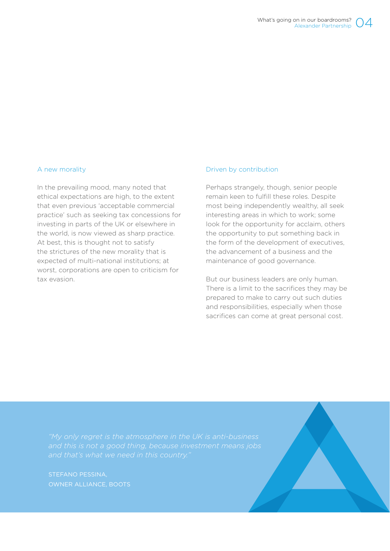#### A new morality

In the prevailing mood, many noted that ethical expectations are high, to the extent that even previous 'acceptable commercial practice' such as seeking tax concessions for investing in parts of the UK or elsewhere in the world, is now viewed as sharp practice. At best, this is thought not to satisfy the strictures of the new morality that is expected of multi-national institutions; at worst, corporations are open to criticism for tax evasion.

#### Driven by contribution

Perhaps strangely, though, senior people remain keen to fulfill these roles. Despite most being independently wealthy, all seek interesting areas in which to work; some look for the opportunity for acclaim, others the opportunity to put something back in the form of the development of executives, the advancement of a business and the maintenance of good governance.

But our business leaders are only human. There is a limit to the sacrifices they may be prepared to make to carry out such duties and responsibilities, especially when those sacrifices can come at great personal cost.

STEFANO PESSINA, OWNER ALLIANCE, BOOTS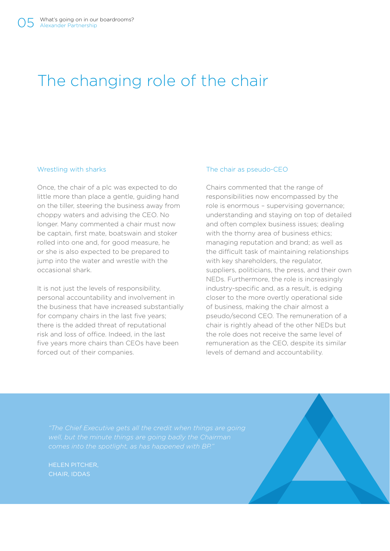## The changing role of the chair

#### Wrestling with sharks

Once, the chair of a plc was expected to do little more than place a gentle, guiding hand on the tiller, steering the business away from choppy waters and advising the CEO. No longer. Many commented a chair must now be captain, first mate, boatswain and stoker rolled into one and, for good measure, he or she is also expected to be prepared to jump into the water and wrestle with the occasional shark.

It is not just the levels of responsibility, personal accountability and involvement in the business that have increased substantially for company chairs in the last five years; there is the added threat of reputational risk and loss of office. Indeed, in the last five years more chairs than CEOs have been forced out of their companies.

#### The chair as pseudo-CEO

Chairs commented that the range of responsibilities now encompassed by the role is enormous – supervising governance; understanding and staying on top of detailed and often complex business issues; dealing with the thorny area of business ethics: managing reputation and brand; as well as the difficult task of maintaining relationships with key shareholders, the regulator, suppliers, politicians, the press, and their own NEDs. Furthermore, the role is increasingly industry-specific and, as a result, is edging closer to the more overtly operational side of business, making the chair almost a pseudo/second CEO. The remuneration of a chair is rightly ahead of the other NEDs but the role does not receive the same level of remuneration as the CEO, despite its similar levels of demand and accountability.

HELEN PITCHER, CHAIR, IDDAS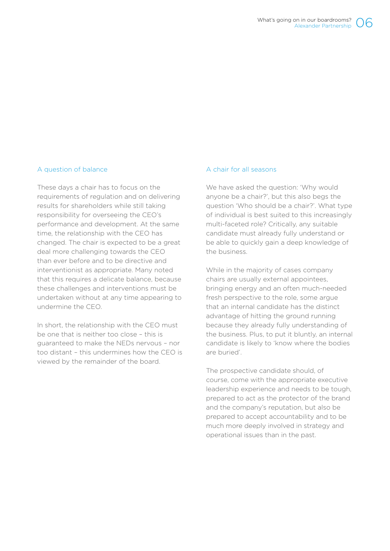#### A question of balance

These days a chair has to focus on the requirements of regulation and on delivering results for shareholders while still taking responsibility for overseeing the CEO's performance and development. At the same time, the relationship with the CEO has changed. The chair is expected to be a great deal more challenging towards the CEO than ever before and to be directive and interventionist as appropriate. Many noted that this requires a delicate balance, because these challenges and interventions must be undertaken without at any time appearing to undermine the CEO.

In short, the relationship with the CEO must be one that is neither too close – this is guaranteed to make the NEDs nervous – nor too distant – this undermines how the CEO is viewed by the remainder of the board.

#### A chair for all seasons

We have asked the question: 'Why would anyone be a chair?', but this also begs the question 'Who should be a chair?'. What type of individual is best suited to this increasingly multi-faceted role? Critically, any suitable candidate must already fully understand or be able to quickly gain a deep knowledge of the business.

While in the majority of cases company chairs are usually external appointees, bringing energy and an often much-needed fresh perspective to the role, some argue that an internal candidate has the distinct advantage of hitting the ground running because they already fully understanding of the business. Plus, to put it bluntly, an internal candidate is likely to 'know where the bodies are buried'.

The prospective candidate should, of course, come with the appropriate executive leadership experience and needs to be tough, prepared to act as the protector of the brand and the company's reputation, but also be prepared to accept accountability and to be much more deeply involved in strategy and operational issues than in the past.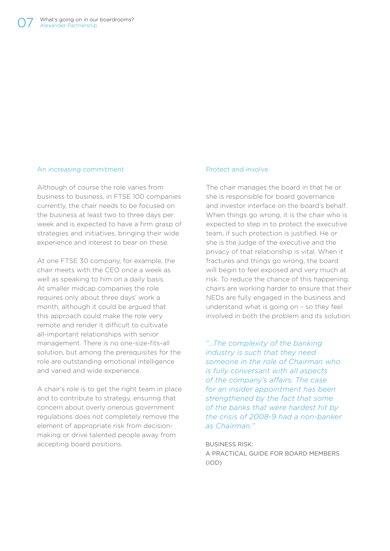#### An increasing commitment

Although of course the role varies from business to business, in FTSE 100 companies currently, the chair needs to be focused on the business at least two to three days per week and is expected to have a firm grasp of strategies and initiatives, bringing their wide experience and interest to bear on these.

At one FTSE 30 company, for example, the chair meets with the CEO once a week as well as speaking to him on a daily basis. At smaller midcap companies the role requires only about three days' work a month, although it could be argued that this approach could make the role very remote and render it difficult to cultivate all-important relationships with senior management. There is no one-size-fits-all solution, but among the prerequisites for the role are outstanding emotional intelligence and varied and wide experience.

A chair's role is to get the right team in place and to contribute to strategy, ensuring that concern about overly onerous government regulations does not completely remove the element of appropriate risk from decisionmaking or drive talented people away from accepting board positions.

#### Protect and involve

The chair manages the board in that he or she is responsible for board governance and investor interface on the board's behalf. When things go wrong, it is the chair who is expected to step in to protect the executive team, if such protection is justified. He or she is the judge of the executive and the privacy of that relationship is vital. When it fractures and things go wrong, the board will begin to feel exposed and very much at risk. To reduce the chance of this happening, chairs are working harder to ensure that their NEDs are fully engaged in the business and understand what is going on – so they feel involved in both the problem and its solution.

*"...The complexity of the banking industry is such that they need someone in the role of Chairman who is fully conversant with all aspects of the company's afairs. The case for an insider appointment has been strengthened by the fact that some of the banks that were hardest hit by the crisis of 2008-9 had a non-banker as Chairman."*

BUSINESS RISK: A PRACTICAL GUIDE FOR BOARD MEMBERS (IOD)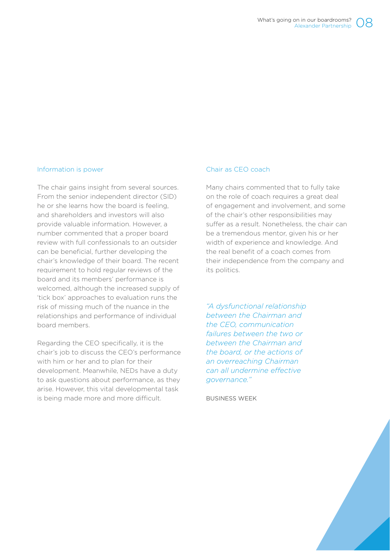#### Information is power

The chair gains insight from several sources. From the senior independent director (SID) he or she learns how the board is feeling, and shareholders and investors will also provide valuable information. However, a number commented that a proper board review with full confessionals to an outsider can be beneficial, further developing the chair's knowledge of their board. The recent requirement to hold regular reviews of the board and its members' performance is welcomed, although the increased supply of 'tick box' approaches to evaluation runs the risk of missing much of the nuance in the relationships and performance of individual board members.

Regarding the CEO specifically, it is the chair's job to discuss the CEO's performance with him or her and to plan for their development. Meanwhile, NEDs have a duty to ask questions about performance, as they arise. However, this vital developmental task is being made more and more difficult.

#### Chair as CEO coach

Many chairs commented that to fully take on the role of coach requires a great deal of engagement and involvement, and some of the chair's other responsibilities may suffer as a result. Nonetheless, the chair can be a tremendous mentor, given his or her width of experience and knowledge. And the real benefit of a coach comes from their independence from the company and its politics.

*"A dysfunctional relationship between the Chairman and the CEO, communication failures between the two or between the Chairman and the board, or the actions of an overreaching Chairman can all undermine efective governance."*

BUSINESS WEEK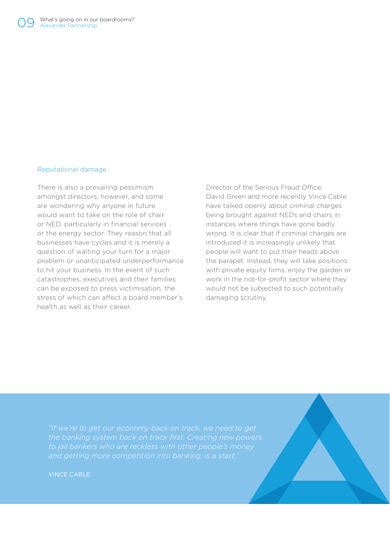#### Reputational damage

There is also a prevailing pessimism amongst directors, however, and some are wondering why anyone in future would want to take on the role of chair or NED, particularly in financial services or the energy sector. They reason that all businesses have cycles and it is merely a question of waiting your turn for a major problem or unanticipated underperformance to hit your business. In the event of such catastrophes, executives and their families can be exposed to press victimisation, the stress of which can afect a board member's health as well as their career.

Director of the Serious Fraud Office. David Green and more recently Vince Cable have talked openly about criminal charges being brought against NEDs and chairs in instances where things have gone badly wrong. It is clear that if criminal charges are introduced it is increasingly unlikely that people will want to put their heads above the parapet. Instead, they will take positions with private equity firms, enjoy the garden or work in the not-for-profit sector where they would not be subjected to such potentially damaging scrutiny.

*"If we're to get our economy back on track, we need to get* 

VINCE CABLE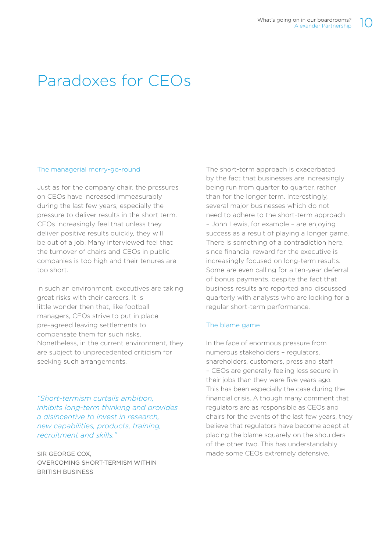## Paradoxes for CEOs

### The managerial merry-go-round

Just as for the company chair, the pressures on CEOs have increased immeasurably during the last few years, especially the pressure to deliver results in the short term. CEOs increasingly feel that unless they deliver positive results quickly, they will be out of a job. Many interviewed feel that the turnover of chairs and CEOs in public companies is too high and their tenures are too short.

In such an environment, executives are taking great risks with their careers. It is little wonder then that, like football managers, CEOs strive to put in place pre-agreed leaving settlements to compensate them for such risks. Nonetheless, in the current environment, they are subject to unprecedented criticism for seeking such arrangements.

*"Short-termism curtails ambition, inhibits long-term thinking and provides a disincentive to invest in research, new capabilities, products, training, recruitment and skills."*

SIR GEORGE COX, OVERCOMING SHORT-TERMISM WITHIN BRITISH BUSINESS

The short-term approach is exacerbated by the fact that businesses are increasingly being run from quarter to quarter, rather than for the longer term. Interestingly, several major businesses which do not need to adhere to the short-term approach – John Lewis, for example – are enjoying success as a result of playing a longer game. There is something of a contradiction here, since financial reward for the executive is increasingly focused on long-term results. Some are even calling for a ten-year deferral of bonus payments, despite the fact that business results are reported and discussed quarterly with analysts who are looking for a regular short-term performance.

### The blame game

In the face of enormous pressure from numerous stakeholders – regulators, shareholders, customers, press and staf – CEOs are generally feeling less secure in their jobs than they were five years ago. This has been especially the case during the financial crisis. Although many comment that regulators are as responsible as CEOs and chairs for the events of the last few years, they believe that regulators have become adept at placing the blame squarely on the shoulders of the other two. This has understandably made some CEOs extremely defensive.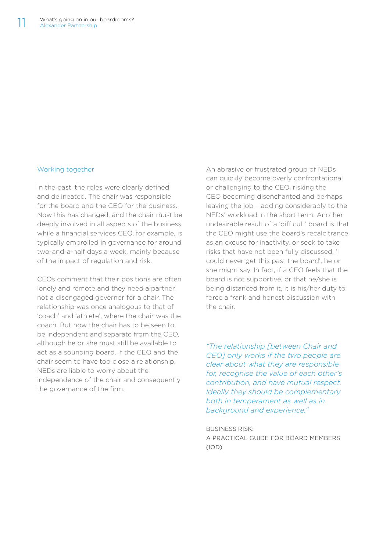#### Working together

In the past, the roles were clearly defined and delineated. The chair was responsible for the board and the CEO for the business. Now this has changed, and the chair must be deeply involved in all aspects of the business, while a financial services CEO, for example, is typically embroiled in governance for around two-and-a-half days a week, mainly because of the impact of regulation and risk.

CEOs comment that their positions are often lonely and remote and they need a partner, not a disengaged governor for a chair. The relationship was once analogous to that of 'coach' and 'athlete', where the chair was the coach. But now the chair has to be seen to be independent and separate from the CEO, although he or she must still be available to act as a sounding board. If the CEO and the chair seem to have too close a relationship, NEDs are liable to worry about the independence of the chair and consequently the governance of the firm.

An abrasive or frustrated group of NEDs can quickly become overly confrontational or challenging to the CEO, risking the CEO becoming disenchanted and perhaps leaving the job – adding considerably to the NEDs' workload in the short term. Another undesirable result of a 'difficult' board is that the CEO might use the board's recalcitrance as an excuse for inactivity, or seek to take risks that have not been fully discussed. 'I could never get this past the board', he or she might say. In fact, if a CEO feels that the board is not supportive, or that he/she is being distanced from it, it is his/her duty to force a frank and honest discussion with the chair.

*"The relationship [between Chair and CEO] only works if the two people are clear about what they are responsible for, recognise the value of each other's contribution, and have mutual respect. Ideally they should be complementary both in temperament as well as in background and experience."*

BUSINESS RISK: A PRACTICAL GUIDE FOR BOARD MEMBERS (IOD)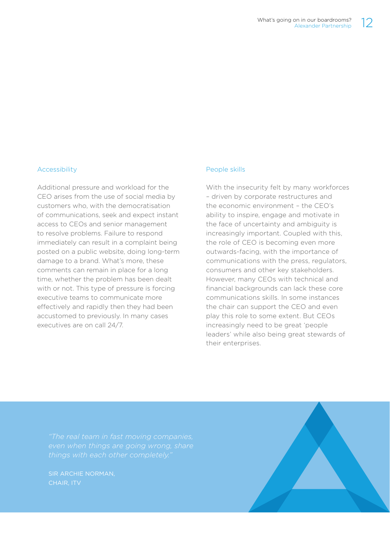#### Accessibility

Additional pressure and workload for the CEO arises from the use of social media by customers who, with the democratisation of communications, seek and expect instant access to CEOs and senior management to resolve problems. Failure to respond immediately can result in a complaint being posted on a public website, doing long-term damage to a brand. What's more, these comments can remain in place for a long time, whether the problem has been dealt with or not. This type of pressure is forcing executive teams to communicate more efectively and rapidly then they had been accustomed to previously. In many cases executives are on call 24/7.

#### People skills

With the insecurity felt by many workforces – driven by corporate restructures and the economic environment – the CEO's ability to inspire, engage and motivate in the face of uncertainty and ambiguity is increasingly important. Coupled with this, the role of CEO is becoming even more outwards-facing, with the importance of communications with the press, regulators, consumers and other key stakeholders. However, many CEOs with technical and financial backgrounds can lack these core communications skills. In some instances the chair can support the CEO and even play this role to some extent. But CEOs increasingly need to be great 'people leaders' while also being great stewards of their enterprises.

*"The real team in fast moving companies,* 

SIR ARCHIE NORMAN,

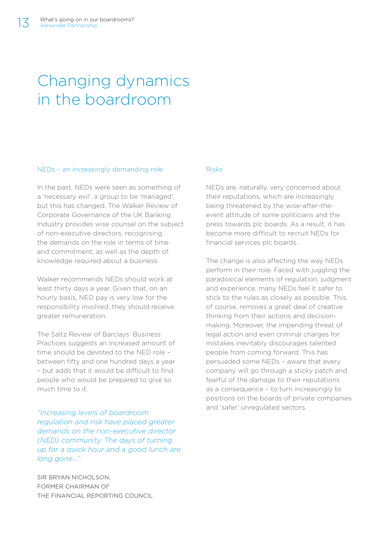### Changing dynamics in the boardroom

#### NEDs – an increasingly demanding role

In the past, NEDs were seen as something of a 'necessary evil', a group to be 'managed', but this has changed. The Walker Review of Corporate Governance of the UK Banking Industry provides wise counsel on the subject of non-executive directors, recognising the demands on the role in terms of time and commitment, as well as the depth of knowledge required about a business.

Walker recommends NEDs should work at least thirty days a year. Given that, on an hourly basis, NED pay is very low for the responsibility involved, they should receive greater remuneration.

The Saltz Review of Barclays' Business Practices suggests an increased amount of time should be devoted to the NED role – between fifty and one hundred days a year – but adds that it would be difcult to find people who would be prepared to give so much time to it.

*"Increasing levels of boardroom regulation and risk have placed greater demands on the non-executive director (NED) community. The days of turning up for a quick hour and a good lunch are long gone..."*

SIR BRYAN NICHOLSON, FORMER CHAIRMAN OF THE FINANCIAL REPORTING COUNCIL

#### Risks

NEDs are, naturally, very concerned about their reputations, which are increasingly being threatened by the wise-after-theevent attitude of some politicians and the press towards plc boards. As a result, it has become more difficult to recruit NEDs for financial services plc boards.

The change is also afecting the way NEDs perform in their role. Faced with juggling the paradoxical elements of regulation, judgment and experience, many NEDs feel it safer to stick to the rules as closely as possible. This, of course, removes a great deal of creative thinking from their actions and decisionmaking. Moreover, the impending threat of legal action and even criminal charges for mistakes inevitably discourages talented people from coming forward. This has persuaded some NEDs – aware that every company will go through a sticky patch and fearful of the damage to their reputations as a consequence – to turn increasingly to positions on the boards of private companies and 'safer' unregulated sectors.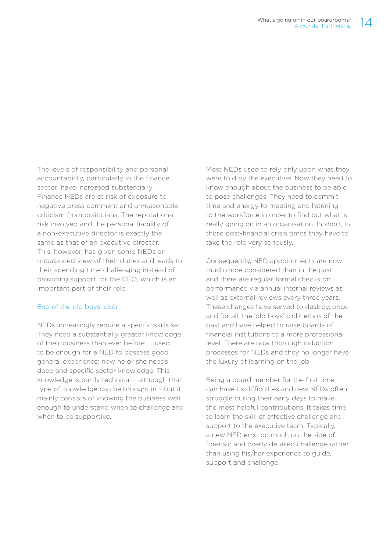The levels of responsibility and personal accountability, particularly in the finance sector, have increased substantially. Finance NEDs are at risk of exposure to negative press comment and unreasonable criticism from politicians. The reputational risk involved and the personal liability of a non-executive director is exactly the same as that of an executive director. This, however, has given some NEDs an unbalanced view of their duties and leads to their spending time challenging instead of providing support for the CEO, which is an important part of their role.

#### End of the old boys' club

NEDs increasingly require a specific skills set. They need a substantially greater knowledge of their business than ever before. It used to be enough for a NED to possess good general experience; now he or she needs deep and specific sector knowledge. This knowledge is partly technical – although that type of knowledge can be brought in – but it mainly consists of knowing the business well enough to understand when to challenge and when to be supportive.

Most NEDs used to rely only upon what they were told by the executive. Now they need to know enough about the business to be able to pose challenges. They need to commit time and energy to meeting and listening to the workforce in order to find out what is really going on in an organisation. In short, in these post-financial crisis times they have to take the role very seriously.

Consequently, NED appointments are now much more considered than in the past and there are regular formal checks on performance via annual internal reviews as well as external reviews every three years. These changes have served to destroy, once and for all, the 'old boys' club' ethos of the past and have helped to raise boards of financial institutions to a more professional level. There are now thorough induction processes for NEDs and they no longer have the luxury of learning on the job.

Being a board member for the first time can have its difficulties and new NEDs often struggle during their early days to make the most helpful contributions. It takes time to learn the skill of efective challenge and support to the executive team. Typically, a new NED errs too much on the side of forensic and overly detailed challenge rather than using his/her experience to guide, support and challenge.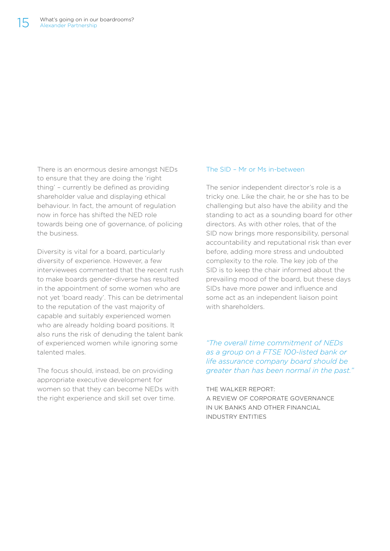There is an enormous desire amongst NEDs to ensure that they are doing the 'right thing' – currently be defined as providing shareholder value and displaying ethical behaviour. In fact, the amount of regulation now in force has shifted the NED role towards being one of governance, of policing the business.

Diversity is vital for a board, particularly diversity of experience. However, a few interviewees commented that the recent rush to make boards gender-diverse has resulted in the appointment of some women who are not yet 'board ready'. This can be detrimental to the reputation of the vast majority of capable and suitably experienced women who are already holding board positions. It also runs the risk of denuding the talent bank of experienced women while ignoring some talented males.

The focus should, instead, be on providing appropriate executive development for women so that they can become NEDs with the right experience and skill set over time.

#### The SID – Mr or Ms in-between

The senior independent director's role is a tricky one. Like the chair, he or she has to be challenging but also have the ability and the standing to act as a sounding board for other directors. As with other roles, that of the SID now brings more responsibility, personal accountability and reputational risk than ever before, adding more stress and undoubted complexity to the role. The key job of the SID is to keep the chair informed about the prevailing mood of the board, but these days SIDs have more power and influence and some act as an independent liaison point with shareholders.

*"The overall time commitment of NEDs as a group on a FTSE 100-listed bank or life assurance company board should be greater than has been normal in the past."*

THE WALKER REPORT: A REVIEW OF CORPORATE GOVERNANCE IN UK BANKS AND OTHER FINANCIAL INDUSTRY ENTITIES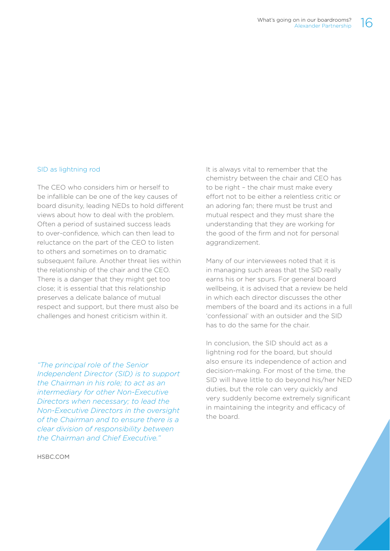#### SID as lightning rod

The CEO who considers him or herself to be infallible can be one of the key causes of board disunity, leading NEDs to hold diferent views about how to deal with the problem. Often a period of sustained success leads to over-confidence, which can then lead to reluctance on the part of the CEO to listen to others and sometimes on to dramatic subsequent failure. Another threat lies within the relationship of the chair and the CEO. There is a danger that they might get too close; it is essential that this relationship preserves a delicate balance of mutual respect and support, but there must also be challenges and honest criticism within it.

*"The principal role of the Senior Independent Director (SID) is to support the Chairman in his role; to act as an intermediary for other Non-Executive Directors when necessary; to lead the Non-Executive Directors in the oversight of the Chairman and to ensure there is a clear division of responsibility between the Chairman and Chief Executive."*

HSBC.COM

It is always vital to remember that the chemistry between the chair and CEO has to be right – the chair must make every effort not to be either a relentless critic or an adoring fan; there must be trust and mutual respect and they must share the understanding that they are working for the good of the firm and not for personal aggrandizement.

Many of our interviewees noted that it is in managing such areas that the SID really earns his or her spurs. For general board wellbeing, it is advised that a review be held in which each director discusses the other members of the board and its actions in a full 'confessional' with an outsider and the SID has to do the same for the chair.

In conclusion, the SID should act as a lightning rod for the board, but should also ensure its independence of action and decision-making. For most of the time, the SID will have little to do beyond his/her NED duties, but the role can very quickly and very suddenly become extremely significant in maintaining the integrity and efficacy of the board.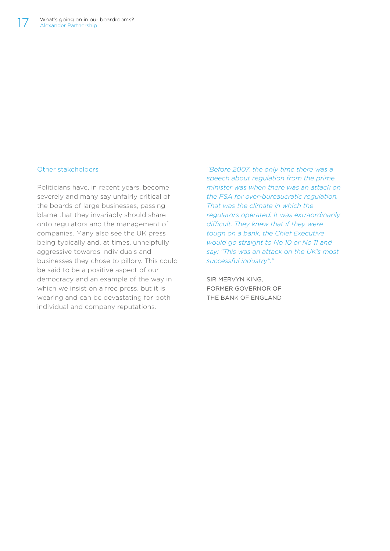#### Other stakeholders

Politicians have, in recent years, become severely and many say unfairly critical of the boards of large businesses, passing blame that they invariably should share onto regulators and the management of companies. Many also see the UK press being typically and, at times, unhelpfully aggressive towards individuals and businesses they chose to pillory. This could be said to be a positive aspect of our democracy and an example of the way in which we insist on a free press, but it is wearing and can be devastating for both individual and company reputations.

*"Before 2007, the only time there was a speech about regulation from the prime minister was when there was an attack on the FSA for over-bureaucratic regulation. That was the climate in which the regulators operated. It was extraordinarily difcult. They knew that if they were tough on a bank, the Chief Executive would go straight to No 10 or No 11 and say: "This was an attack on the UK's most successful industry"."*

SIR MERVYN KING, FORMER GOVERNOR OF THE BANK OF ENGLAND